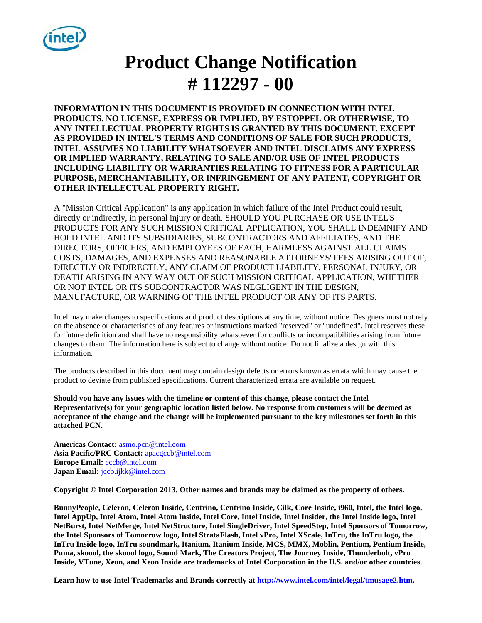

# **Product Change Notification # 112297 - 00**

**INFORMATION IN THIS DOCUMENT IS PROVIDED IN CONNECTION WITH INTEL PRODUCTS. NO LICENSE, EXPRESS OR IMPLIED, BY ESTOPPEL OR OTHERWISE, TO ANY INTELLECTUAL PROPERTY RIGHTS IS GRANTED BY THIS DOCUMENT. EXCEPT AS PROVIDED IN INTEL'S TERMS AND CONDITIONS OF SALE FOR SUCH PRODUCTS, INTEL ASSUMES NO LIABILITY WHATSOEVER AND INTEL DISCLAIMS ANY EXPRESS OR IMPLIED WARRANTY, RELATING TO SALE AND/OR USE OF INTEL PRODUCTS INCLUDING LIABILITY OR WARRANTIES RELATING TO FITNESS FOR A PARTICULAR PURPOSE, MERCHANTABILITY, OR INFRINGEMENT OF ANY PATENT, COPYRIGHT OR OTHER INTELLECTUAL PROPERTY RIGHT.** 

A "Mission Critical Application" is any application in which failure of the Intel Product could result, directly or indirectly, in personal injury or death. SHOULD YOU PURCHASE OR USE INTEL'S PRODUCTS FOR ANY SUCH MISSION CRITICAL APPLICATION, YOU SHALL INDEMNIFY AND HOLD INTEL AND ITS SUBSIDIARIES, SUBCONTRACTORS AND AFFILIATES, AND THE DIRECTORS, OFFICERS, AND EMPLOYEES OF EACH, HARMLESS AGAINST ALL CLAIMS COSTS, DAMAGES, AND EXPENSES AND REASONABLE ATTORNEYS' FEES ARISING OUT OF, DIRECTLY OR INDIRECTLY, ANY CLAIM OF PRODUCT LIABILITY, PERSONAL INJURY, OR DEATH ARISING IN ANY WAY OUT OF SUCH MISSION CRITICAL APPLICATION, WHETHER OR NOT INTEL OR ITS SUBCONTRACTOR WAS NEGLIGENT IN THE DESIGN, MANUFACTURE, OR WARNING OF THE INTEL PRODUCT OR ANY OF ITS PARTS.

Intel may make changes to specifications and product descriptions at any time, without notice. Designers must not rely on the absence or characteristics of any features or instructions marked "reserved" or "undefined". Intel reserves these for future definition and shall have no responsibility whatsoever for conflicts or incompatibilities arising from future changes to them. The information here is subject to change without notice. Do not finalize a design with this information.

The products described in this document may contain design defects or errors known as errata which may cause the product to deviate from published specifications. Current characterized errata are available on request.

**Should you have any issues with the timeline or content of this change, please contact the Intel Representative(s) for your geographic location listed below. No response from customers will be deemed as acceptance of the change and the change will be implemented pursuant to the key milestones set forth in this attached PCN.** 

**Americas Contact:** [asmo.pcn@intel.com](mailto:asmo.pcn@intel.com)  **Asia Pacific/PRC Contact:** [apacgccb@intel.com](mailto:apacgccb@intel.com)  **Europe Email:** [eccb@intel.com](mailto:eccb@intel.com)  **Japan Email:** [jccb.ijkk@intel.com](mailto:jccb.ijkk@intel.com) 

**Copyright © Intel Corporation 2013. Other names and brands may be claimed as the property of others.**

**BunnyPeople, Celeron, Celeron Inside, Centrino, Centrino Inside, Cilk, Core Inside, i960, Intel, the Intel logo, Intel AppUp, Intel Atom, Intel Atom Inside, Intel Core, Intel Inside, Intel Insider, the Intel Inside logo, Intel NetBurst, Intel NetMerge, Intel NetStructure, Intel SingleDriver, Intel SpeedStep, Intel Sponsors of Tomorrow, the Intel Sponsors of Tomorrow logo, Intel StrataFlash, Intel vPro, Intel XScale, InTru, the InTru logo, the InTru Inside logo, InTru soundmark, Itanium, Itanium Inside, MCS, MMX, Moblin, Pentium, Pentium Inside, Puma, skoool, the skoool logo, Sound Mark, The Creators Project, The Journey Inside, Thunderbolt, vPro Inside, VTune, Xeon, and Xeon Inside are trademarks of Intel Corporation in the U.S. and/or other countries.**

**Learn how to use Intel Trademarks and Brands correctly at [http://www.intel.com/intel/legal/tmusage2.htm.](http://www.intel.com/intel/legal/tmusage2.htm)**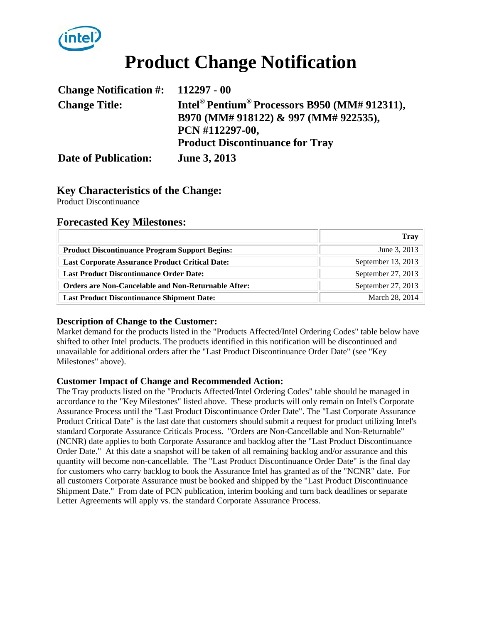

# **Product Change Notification**

| <b>Change Notification #:</b> | $112297 - 00$                                                         |
|-------------------------------|-----------------------------------------------------------------------|
| <b>Change Title:</b>          | Intel <sup>®</sup> Pentium <sup>®</sup> Processors B950 (MM# 912311), |
|                               | B970 (MM# 918122) & 997 (MM# 922535),                                 |
|                               | PCN #112297-00,                                                       |
|                               | <b>Product Discontinuance for Tray</b>                                |
| <b>Date of Publication:</b>   | <b>June 3, 2013</b>                                                   |

### **Key Characteristics of the Change:**

Product Discontinuance

### **Forecasted Key Milestones:**

|                                                            | Trav               |
|------------------------------------------------------------|--------------------|
| <b>Product Discontinuance Program Support Begins:</b>      | June 3, 2013       |
| <b>Last Corporate Assurance Product Critical Date:</b>     | September 13, 2013 |
| <b>Last Product Discontinuance Order Date:</b>             | September 27, 2013 |
| <b>Orders are Non-Cancelable and Non-Returnable After:</b> | September 27, 2013 |
| <b>Last Product Discontinuance Shipment Date:</b>          | March 28, 2014     |

#### **Description of Change to the Customer:**

Market demand for the products listed in the "Products Affected/Intel Ordering Codes" table below have shifted to other Intel products. The products identified in this notification will be discontinued and unavailable for additional orders after the "Last Product Discontinuance Order Date" (see "Key Milestones" above).

#### **Customer Impact of Change and Recommended Action:**

The Tray products listed on the "Products Affected/Intel Ordering Codes" table should be managed in accordance to the "Key Milestones" listed above. These products will only remain on Intel's Corporate Assurance Process until the "Last Product Discontinuance Order Date". The "Last Corporate Assurance Product Critical Date" is the last date that customers should submit a request for product utilizing Intel's standard Corporate Assurance Criticals Process. "Orders are Non-Cancellable and Non-Returnable" (NCNR) date applies to both Corporate Assurance and backlog after the "Last Product Discontinuance Order Date." At this date a snapshot will be taken of all remaining backlog and/or assurance and this quantity will become non-cancellable. The "Last Product Discontinuance Order Date" is the final day for customers who carry backlog to book the Assurance Intel has granted as of the "NCNR" date. For all customers Corporate Assurance must be booked and shipped by the "Last Product Discontinuance Shipment Date." From date of PCN publication, interim booking and turn back deadlines or separate Letter Agreements will apply vs. the standard Corporate Assurance Process.